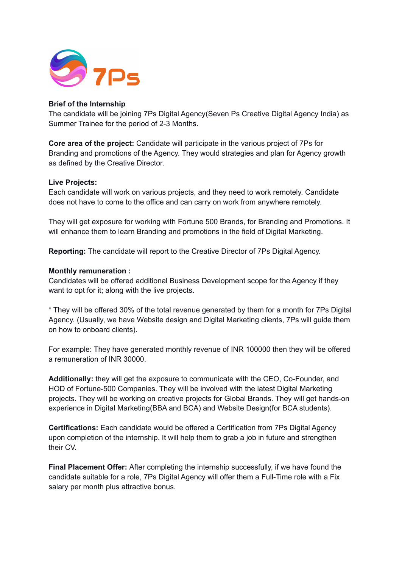

### **Brief of the Internship**

The candidate will be joining 7Ps Digital Agency(Seven Ps Creative Digital Agency India) as Summer Trainee for the period of 2-3 Months.

**Core area of the project:** Candidate will participate in the various project of 7Ps for Branding and promotions of the Agency. They would strategies and plan for Agency growth as defined by the Creative Director.

### **Live Projects:**

Each candidate will work on various projects, and they need to work remotely. Candidate does not have to come to the office and can carry on work from anywhere remotely.

They will get exposure for working with Fortune 500 Brands, for Branding and Promotions. It will enhance them to learn Branding and promotions in the field of Digital Marketing.

**Reporting:** The candidate will report to the Creative Director of 7Ps Digital Agency.

### **Monthly remuneration :**

Candidates will be offered additional Business Development scope for the Agency if they want to opt for it; along with the live projects.

\* They will be offered 30% of the total revenue generated by them for a month for 7Ps Digital Agency. (Usually, we have Website design and Digital Marketing clients, 7Ps will guide them on how to onboard clients).

For example: They have generated monthly revenue of INR 100000 then they will be offered a remuneration of INR 30000.

**Additionally:** they will get the exposure to communicate with the CEO, Co-Founder, and HOD of Fortune-500 Companies. They will be involved with the latest Digital Marketing projects. They will be working on creative projects for Global Brands. They will get hands-on experience in Digital Marketing(BBA and BCA) and Website Design(for BCA students).

**Certifications:** Each candidate would be offered a Certification from 7Ps Digital Agency upon completion of the internship. It will help them to grab a job in future and strengthen their CV.

**Final Placement Offer:** After completing the internship successfully, if we have found the candidate suitable for a role, 7Ps Digital Agency will offer them a Full-Time role with a Fix salary per month plus attractive bonus.